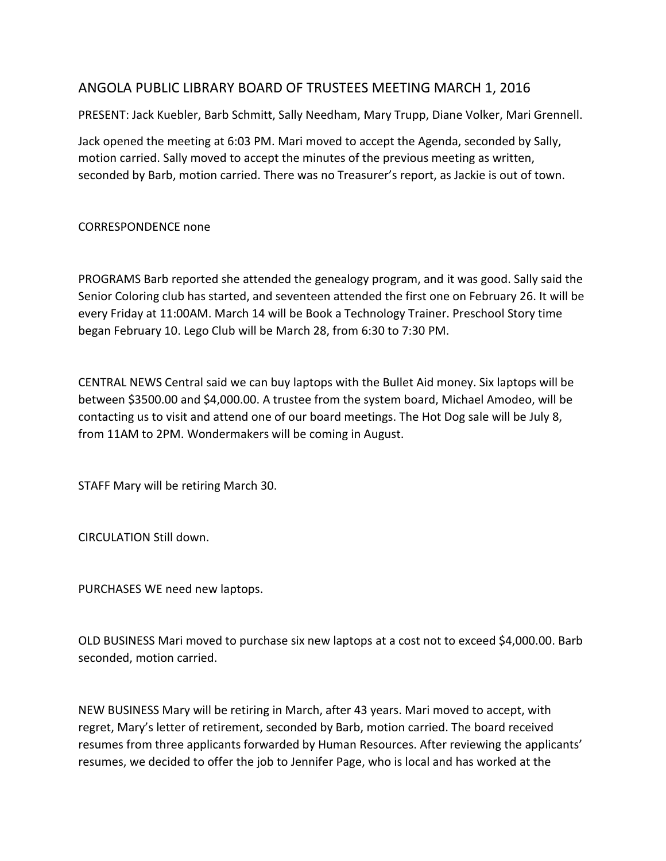## ANGOLA PUBLIC LIBRARY BOARD OF TRUSTEES MEETING MARCH 1, 2016

PRESENT: Jack Kuebler, Barb Schmitt, Sally Needham, Mary Trupp, Diane Volker, Mari Grennell.

Jack opened the meeting at 6:03 PM. Mari moved to accept the Agenda, seconded by Sally, motion carried. Sally moved to accept the minutes of the previous meeting as written, seconded by Barb, motion carried. There was no Treasurer's report, as Jackie is out of town.

CORRESPONDENCE none

PROGRAMS Barb reported she attended the genealogy program, and it was good. Sally said the Senior Coloring club has started, and seventeen attended the first one on February 26. It will be every Friday at 11:00AM. March 14 will be Book a Technology Trainer. Preschool Story time began February 10. Lego Club will be March 28, from 6:30 to 7:30 PM.

CENTRAL NEWS Central said we can buy laptops with the Bullet Aid money. Six laptops will be between \$3500.00 and \$4,000.00. A trustee from the system board, Michael Amodeo, will be contacting us to visit and attend one of our board meetings. The Hot Dog sale will be July 8, from 11AM to 2PM. Wondermakers will be coming in August.

STAFF Mary will be retiring March 30.

CIRCULATION Still down.

PURCHASES WE need new laptops.

OLD BUSINESS Mari moved to purchase six new laptops at a cost not to exceed \$4,000.00. Barb seconded, motion carried.

NEW BUSINESS Mary will be retiring in March, after 43 years. Mari moved to accept, with regret, Mary's letter of retirement, seconded by Barb, motion carried. The board received resumes from three applicants forwarded by Human Resources. After reviewing the applicants' resumes, we decided to offer the job to Jennifer Page, who is local and has worked at the